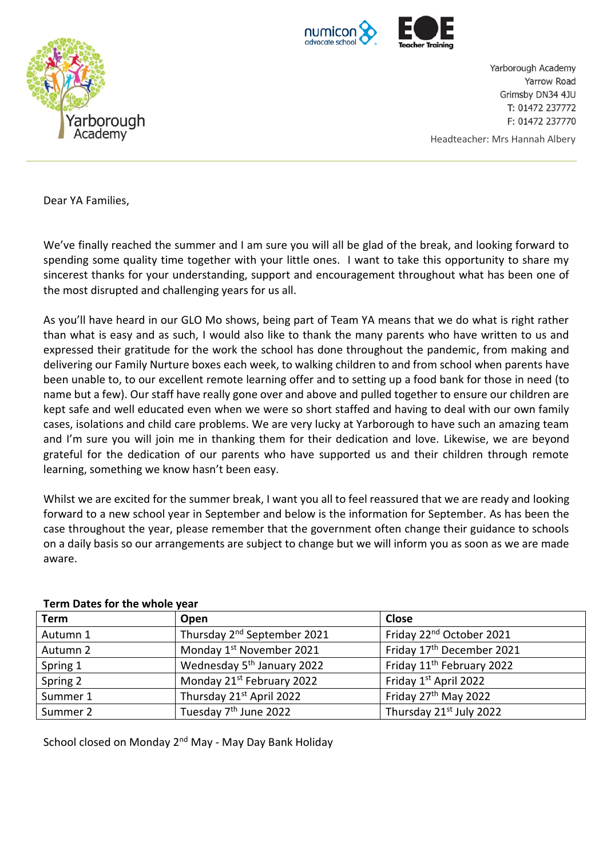



Yarborough Academy Yarrow Road Grimsby DN34 4JU T: 01472 237772 F: 01472 237770

Headteacher: Mrs Hannah Albery

Dear YA Families,

We've finally reached the summer and I am sure you will all be glad of the break, and looking forward to spending some quality time together with your little ones. I want to take this opportunity to share my sincerest thanks for your understanding, support and encouragement throughout what has been one of the most disrupted and challenging years for us all.

As you'll have heard in our GLO Mo shows, being part of Team YA means that we do what is right rather than what is easy and as such, I would also like to thank the many parents who have written to us and expressed their gratitude for the work the school has done throughout the pandemic, from making and delivering our Family Nurture boxes each week, to walking children to and from school when parents have been unable to, to our excellent remote learning offer and to setting up a food bank for those in need (to name but a few). Our staff have really gone over and above and pulled together to ensure our children are kept safe and well educated even when we were so short staffed and having to deal with our own family cases, isolations and child care problems. We are very lucky at Yarborough to have such an amazing team and I'm sure you will join me in thanking them for their dedication and love. Likewise, we are beyond grateful for the dedication of our parents who have supported us and their children through remote learning, something we know hasn't been easy.

Whilst we are excited for the summer break, I want you all to feel reassured that we are ready and looking forward to a new school year in September and below is the information for September. As has been the case throughout the year, please remember that the government often change their guidance to schools on a daily basis so our arrangements are subject to change but we will inform you as soon as we are made aware.

| <b>Term</b> | Open                                    | <b>Close</b>                          |
|-------------|-----------------------------------------|---------------------------------------|
| Autumn 1    | Thursday 2 <sup>nd</sup> September 2021 | Friday 22 <sup>nd</sup> October 2021  |
| Autumn 2    | Monday 1 <sup>st</sup> November 2021    | Friday 17 <sup>th</sup> December 2021 |
| Spring 1    | Wednesday 5 <sup>th</sup> January 2022  | Friday 11 <sup>th</sup> February 2022 |
| Spring 2    | Monday 21st February 2022               | Friday 1st April 2022                 |
| Summer 1    | Thursday 21 <sup>st</sup> April 2022    | Friday 27 <sup>th</sup> May 2022      |
| Summer 2    | Tuesday 7 <sup>th</sup> June 2022       | Thursday 21st July 2022               |

#### **Term Dates for the whole year**

School closed on Monday 2<sup>nd</sup> May - May Day Bank Holiday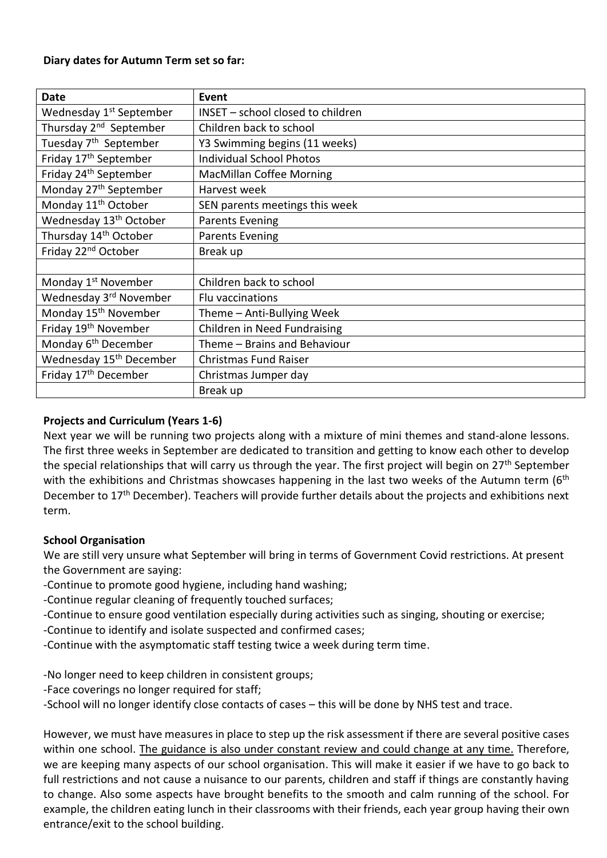### **Diary dates for Autumn Term set so far:**

| Date                                | Event                             |
|-------------------------------------|-----------------------------------|
| Wednesday 1 <sup>st</sup> September | INSET - school closed to children |
| Thursday 2 <sup>nd</sup> September  | Children back to school           |
| Tuesday 7 <sup>th</sup> September   | Y3 Swimming begins (11 weeks)     |
| Friday 17 <sup>th</sup> September   | <b>Individual School Photos</b>   |
| Friday 24 <sup>th</sup> September   | <b>MacMillan Coffee Morning</b>   |
| Monday 27 <sup>th</sup> September   | Harvest week                      |
| Monday 11 <sup>th</sup> October     | SEN parents meetings this week    |
| Wednesday 13 <sup>th</sup> October  | <b>Parents Evening</b>            |
| Thursday 14 <sup>th</sup> October   | <b>Parents Evening</b>            |
| Friday 22 <sup>nd</sup> October     | Break up                          |
|                                     |                                   |
| Monday 1 <sup>st</sup> November     | Children back to school           |
| Wednesday 3rd November              | Flu vaccinations                  |
| Monday 15 <sup>th</sup> November    | Theme - Anti-Bullying Week        |
| Friday 19 <sup>th</sup> November    | Children in Need Fundraising      |
| Monday 6 <sup>th</sup> December     | Theme - Brains and Behaviour      |
| Wednesday 15 <sup>th</sup> December | <b>Christmas Fund Raiser</b>      |
| Friday 17 <sup>th</sup> December    | Christmas Jumper day              |
|                                     | Break up                          |

# **Projects and Curriculum (Years 1-6)**

Next year we will be running two projects along with a mixture of mini themes and stand-alone lessons. The first three weeks in September are dedicated to transition and getting to know each other to develop the special relationships that will carry us through the year. The first project will begin on 27<sup>th</sup> September with the exhibitions and Christmas showcases happening in the last two weeks of the Autumn term (6<sup>th</sup>) December to 17<sup>th</sup> December). Teachers will provide further details about the projects and exhibitions next term.

# **School Organisation**

We are still very unsure what September will bring in terms of Government Covid restrictions. At present the Government are saying:

- -Continue to promote good hygiene, including hand washing;
- -Continue regular cleaning of frequently touched surfaces;
- -Continue to ensure good ventilation especially during activities such as singing, shouting or exercise;
- -Continue to identify and isolate suspected and confirmed cases;
- -Continue with the asymptomatic staff testing twice a week during term time.
- -No longer need to keep children in consistent groups;
- -Face coverings no longer required for staff;
- -School will no longer identify close contacts of cases this will be done by NHS test and trace.

However, we must have measures in place to step up the risk assessment if there are several positive cases within one school. The guidance is also under constant review and could change at any time. Therefore, we are keeping many aspects of our school organisation. This will make it easier if we have to go back to full restrictions and not cause a nuisance to our parents, children and staff if things are constantly having to change. Also some aspects have brought benefits to the smooth and calm running of the school. For example, the children eating lunch in their classrooms with their friends, each year group having their own entrance/exit to the school building.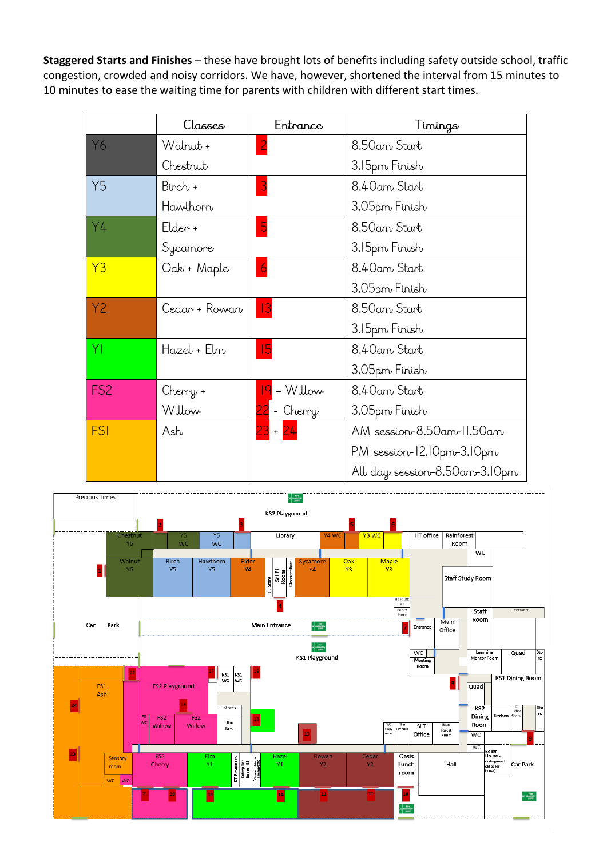**Staggered Starts and Finishes** – these have brought lots of benefits including safety outside school, traffic congestion, crowded and noisy corridors. We have, however, shortened the interval from 15 minutes to 10 minutes to ease the waiting time for parents with children with different start times.

|                 | Classes       | Entrance       | Timings                       |
|-----------------|---------------|----------------|-------------------------------|
| Y6              | Walnut +      | $\overline{2}$ | 8.50am Start                  |
|                 | Chestrut      |                | 3.15pm Finish                 |
| <b>Y5</b>       | Birch +       | 3              | 8.40am Start                  |
|                 | Hawthorn      |                | 3.05pm Finish                 |
| Y4              | Elder +       | 5              | 8.50am Start                  |
|                 | Sycamore      |                | 3.15pm Finish                 |
| Y3              | Oak + Maple   | $\overline{6}$ | 8.40am Start                  |
|                 |               |                | 3.05pm Finish                 |
| Y2              | Cedar + Rowan | 3              | 8.50am Start                  |
|                 |               |                | 3.15pm Finish                 |
| ΥI              | Hazel + Elm   | 15             | 8.40am Start                  |
|                 |               |                | 3.05pm Finish                 |
| FS <sub>2</sub> | Cherry +      | - Willow       | 8.40am Start                  |
|                 | Willow        | - Cherry       | 3.05pm Finish                 |
| <b>FSI</b>      | Ash           | $23 + 24$      | AM session-8.50am-11.50am     |
|                 |               |                | PM session-12.10pm-3.10pm     |
|                 |               |                | All day session-8.50am-3.10pm |